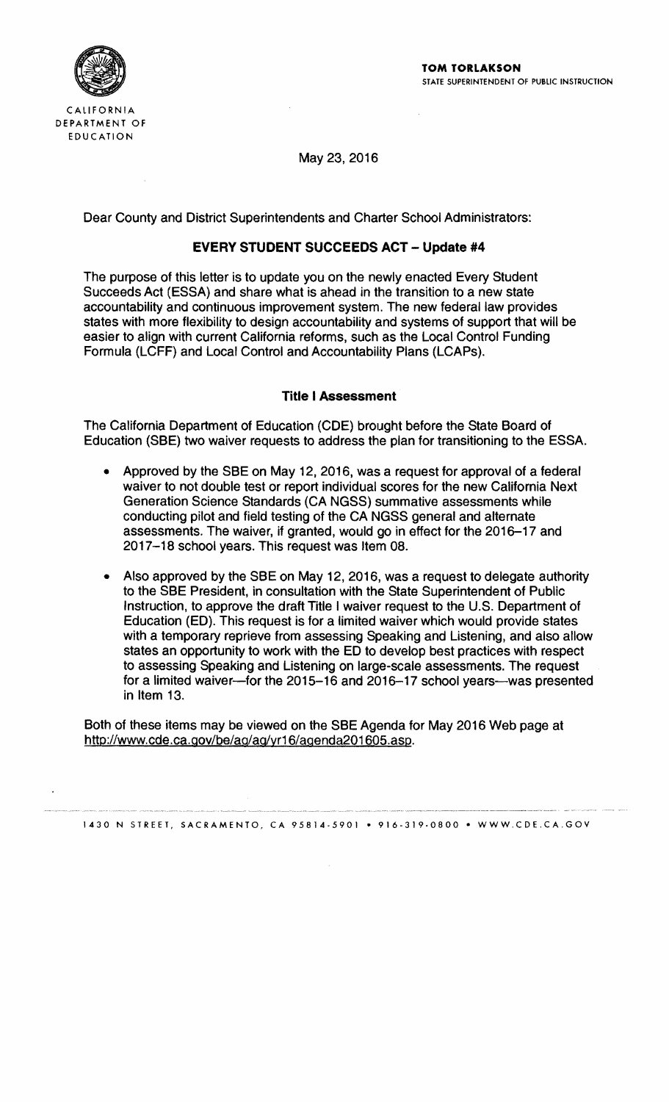

May 23, 2016

Dear County and District Superintendents and Charter School Administrators:

# **EVERY STUDENT SUCCEEDS ACT - Update #4**

The purpose of this letter is to update you on the newly enacted Every Student Succeeds Act (ESSA) and share what is ahead in the transition to a new state accountability and continuous improvement system. The new federal law provides states with more flexibility to design accountability and systems of support that will be easier to align with current California reforms, such as the Local Control Funding Formula (LCFF) and Local Control and Accountability Plans (LCAPs).

### **Title I Assessment**

The California Department of Education (CDE) brought before the State Board of Education (SBE) two waiver requests to address the plan for transitioning to the ESSA.

- Approved by the SBE on May 12, 2016, was a request for approval of a federal waiver to not double test or report individual scores for the new California Next Generation Science Standards (CA NGSS) summative assessments while conducting pilot and field testing of the CA NGSS general and alternate assessments. The waiver, if granted, would go in effect for the 2016-17 and 2017-18 school years. This request was Item 08.
- Also approved by the SBE on May 12, 2016, was a request to delegate authority to the SBE President, in consultation with the State Superintendent of Public Instruction, to approve the draft Title I waiver request to the U.S. Department of Education (ED). This request is for a limited waiver which would provide states with a temporary reprieve from assessing Speaking and Listening, and also allow states an opportunity to work with the ED to develop best practices with respect to assessing Speaking and Listening on large-scale assessments. The request for a limited waiver-for the 2015-16 and 2016-17 school years--was presented in Item 13.

Both of these items may be viewed on the SBE Agenda for May 2016 Web page at http://www.cde.ca.gov/be/ag/ag/yr16/agenda201605.asp.

1430 N STREET, SACRAMENTO, CA 95814 5901 • 916 319·0800 • WWW.CDE.CA.GOV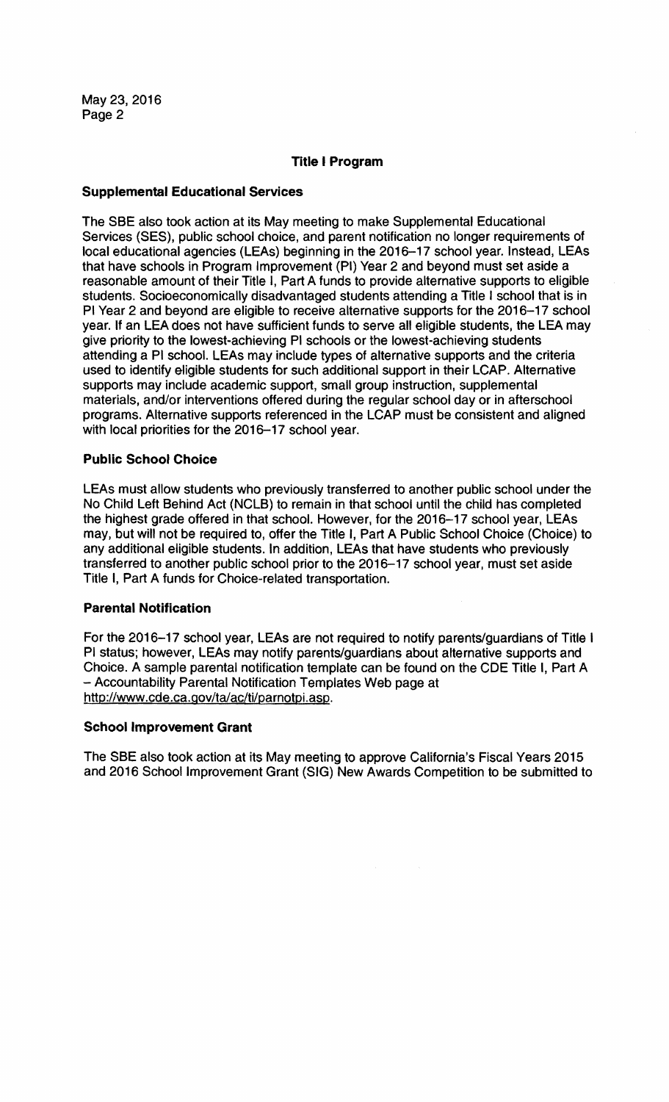## Title I Program

# Supplemental Educational Services

The SBE also took action at its May meeting to make Supplemental Educational Services (SES), public school choice, and parent notification no longer requirements of local educational agencies (LEAs) beginning in the 2016-17 school year. Instead, LEAs that have schools in Program Improvement (PI) Year 2 and beyond must set aside a reasonable amount of their Title I, Part A funds to provide alternative supports to eligible students. Socioeconomically disadvantaged students attending a Title I school that is in PI Year 2 and beyond are eligible to receive alternative supports for the 2016-17 school year. If an LEA does not have sufficient funds to serve all eligible students, the LEA may give priority to the lowest-achieving PI schools or the lowest-achieving students attending a PI school. LEAs may include types of alternative supports and the criteria used to identify eligible students for such additional support in their LCAP. Alternative supports may include academic support, small group instruction, supplemental materials, and/or interventions offered during the regular school day or in afterschool programs. Alternative supports referenced in the LCAP must be consistent and aligned with local priorities for the 2016-17 school year.

# Public School Choice

LEAs must allow students who previously transferred to another public school under the No Child Left Behind Act (NCLB) to remain in that school until the child has completed the highest grade offered in that school. However, for the 2016-17 school year, LEAs may, but will not be required to, offer the Title I, Part A Public School Choice (Choice) to any additional eligible students. In addition, LEAs that have students who previously transferred to another public school prior to the 2016-17 school year, must set aside Title I, Part A funds for Choice-related transportation.

### Parental Notification

For the 2016-17 school year, LEAs are not required to notify parents/guardians of Title I PI status; however, LEAs may notify parents/guardians about alternative supports and Choice. A sample parental notification template can be found on the CDE Title I, Part A - Accountability Parental Notification Templates Web page at http://www.cde.ca.gov/ta/ac/ti/parnotpi.asp.

### School Improvement Grant

The SBE also took action at its May meeting to approve California's Fiscal Years 2015 and 2016 School Improvement Grant (SIG) New Awards Competition to be submitted to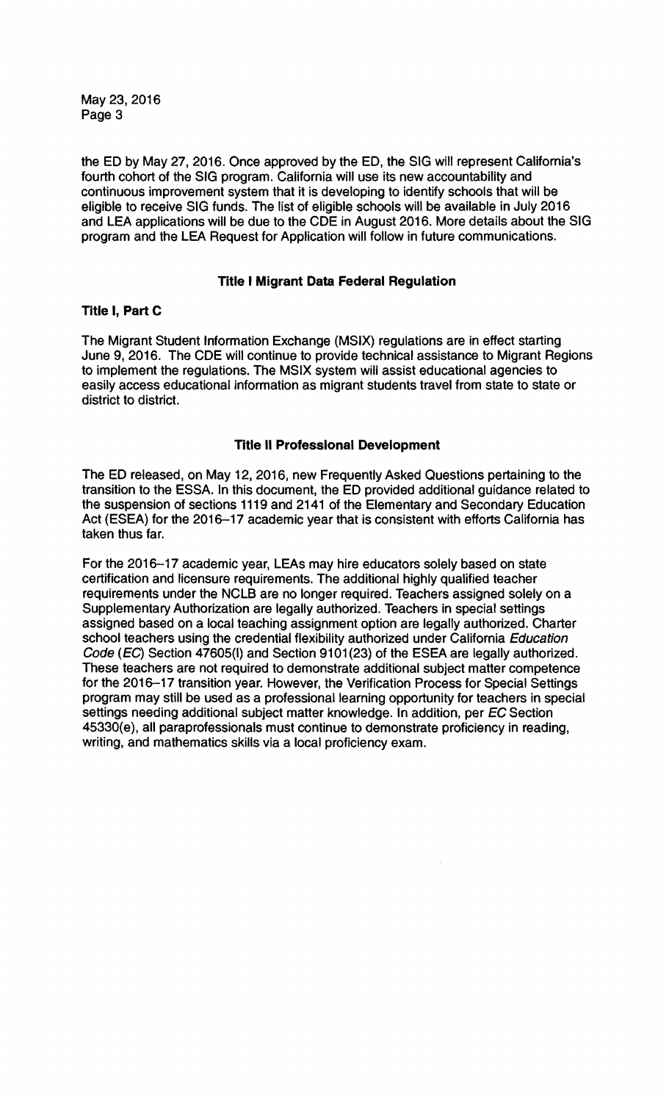the ED by May 27,2016. Once approved by the ED, the SIG will represent California's fourth cohort of the SIG program. California will use its new accountability and continuous improvement system that it is developing to identify schools that will be eligible to receive SIG funds. The list of eligible schools will be available in July 2016 and lEA applications will be due to the COE in August 2016. More details about the SIG program and the lEA Request for Application will follow in future communications.

# Title I Migrant Data Federal Regulation

# Title I, Part C

The Migrant Student Information Exchange (MSIX) regulations are in effect starting June 9, 2016. The COE will continue to provide technical assistance to Migrant Regions to implement the regulations. The MSIX system will assist educational agencies to easily access educational information as migrant students travel from state to state or district to district.

### Title II Professional Development

The ED released, on May 12, 2016, new Frequently Asked Questions pertaining to the transition to the ESSA. In this document, the ED provided additional guidance related to the suspension of sections 1119 and 2141 of the Elementary and Secondary Education Act (ESEA) for the 2016-17 academic year that is consistent with efforts California has taken thus far.

For the 2016-17 academic year, lEAs may hire educators solely based on state certification and licensure requirements. The additional highly qualified teacher requirements under the NCLB are no longer required. Teachers assigned solely on a Supplementary Authorization are legally authorized. Teachers in special settings assigned based on a local teaching assignment option are legally authorized. Charter school teachers using the credential flexibility authorized under California Education Code (EC) Section 47605(1) and Section 9101(23) of the ESEA are legally authorized. These teachers are not required to demonstrate additional subject matter competence for the 2016-17 transition year. However. the Verification Process for Special Settings program may still be used as a professional learning opportunity for teachers in special settings needing additional subject matter knowledge. In addition, per EC Section 45330(e). all paraprofeSSionals must continue to demonstrate proficiency in reading. writing, and mathematics skills via a local proficiency exam.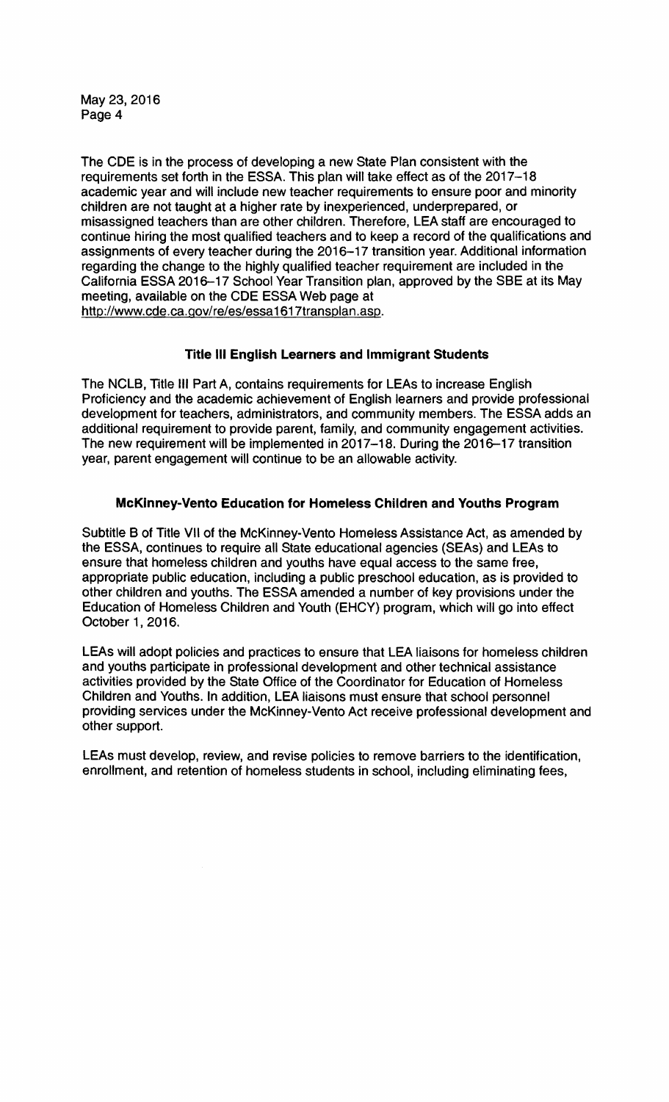The CDE is in the process of developing a new State Plan consistent with the requirements set forth in the ESSA. This plan will take effect as of the 2017-18 academic year and will include new teacher requirements to ensure poor and minority children are not taught at a higher rate by inexperienced, underprepared, or misassigned teachers than are other children. Therefore, lEA staff are encouraged to continue hiring the most qualified teachers and to keep a record of the qualifications and assignments of every teacher during the 2016-17 transition year. Additional information regarding the change to the highly qualified teacher requirement are included in the California ESSA 2016-17 School Year Transition plan, approved by the SSE at its May meeting, available on the CDE ESSA Web page at http://www.cde.ca.gov/re/es/essa1617transplan.asp.

# **Title III English Learners and Immigrant Students**

The NCLB, Title III Part A, contains requirements for LEAs to increase English Proficiency and the academic achievement of English learners and provide professional development for teachers, administrators, and community members. The ESSA adds an additional requirement to provide parent, family, and community engagement activities. The new requirement will be implemented in 2017-18. During the 2016-17 transition year, parent engagement will continue to be an allowable activity.

# **McKinney-Vento Education for Homeless Children and Youths Program**

Subtitle B of Title VII of the McKinney-Vento Homeless Assistance Act, as amended by the ESSA, continues to require all State educational agencies (SEAs) and lEAs to ensure that homeless children and youths have equal access to the same free, appropriate public education, including a public preschool education, as is provided to other children and youths. The ESSA amended a number of key provisions under the Education of Homeless Children and Youth (EHCY) program, which will go into effect October 1, 2016.

LEAs will adopt policies and practices to ensure that LEA liaisons for homeless children and youths participate in professional development and other technical assistance activities provided by the State Office of the Coordinator for Education of Homeless Children and Youths. In addition, lEA liaisons must ensure that school personnel providing services under the McKinney-Vento Act receive professional development and other support.

lEAs must develop, review, and revise policies to remove barriers to the identification, enrollment, and retention of homeless students in school, including eliminating fees,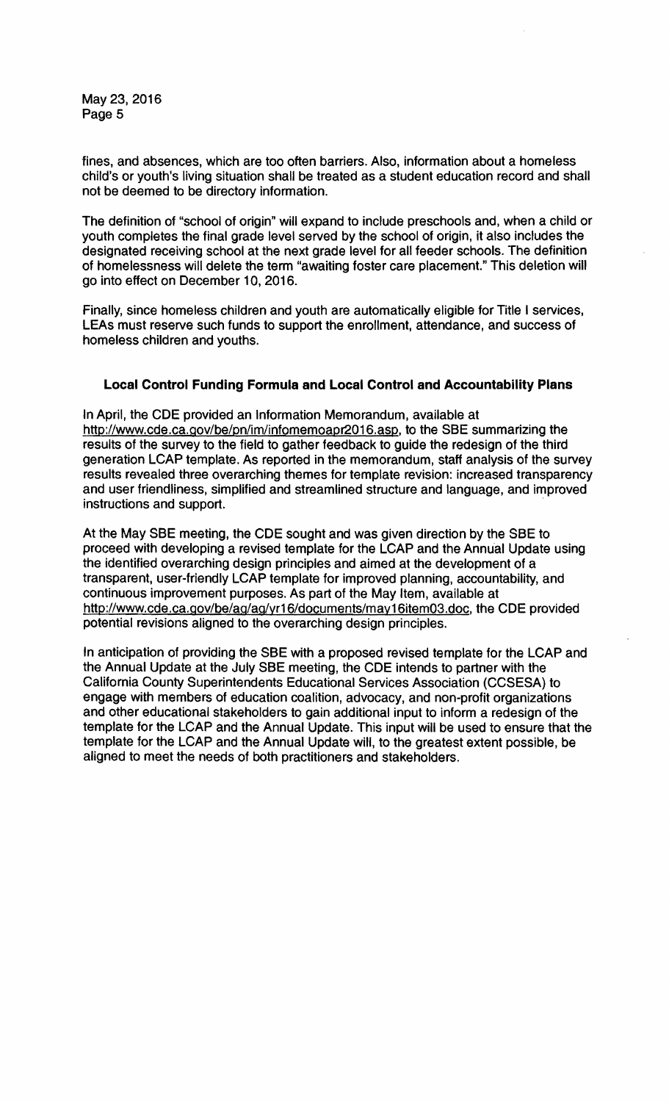fines. and absences, which are too often barriers. Also, information about a homeless child's or youth's living situation shall be treated as a student education record and shall not be deemed to be directory information.

The definition of "school of origin" will expand to include preschools and, when a child or youth completes the final grade level served by the school of origin, it also includes the designated receiving school at the next grade level for all feeder schools. The definition of homelessness will delete the term "awaiting foster care placement." This deletion will go into effect on December 10, 2016.

Finally, since homeless children and youth are automatically eligible for Title I services, LEAs must reserve such funds to support the enrollment, attendance, and success of homeless children and youths.

# **Local Control Funding Formula and Local Control and Accountability Plans**

In April, the CDE provided an Information Memorandum, available at http://www.cde.ca.gov/be/pn/im/infomemoapr2016.asp. to the SSE summarizing the results of the survey to the field to gather feedback to guide the redesign of the third generation LCAP template. As reported in the memorandum, staff analysis of the survey results revealed three overarching themes for template revision: increased transparency and user friendliness, simplified and streamlined structure and language, and improved instructions and support. .

At the May SSE meeting, the CDE sought and was given direction by the SSE to proceed with developing a revised template for the LCAP and the Annual Update using the identified overarching design principles and aimed at the development of a transparent, user-friendly LCAP template for improved planning, accountability, and continuous improvement purposes. As part of the May Item, available at http://www.cde.ca.gov/be/ag/ag/yr16/documents/may16item03.doc, the CDE provided potential revisions aligned to the overarching design principles.

In anticipation of providing the SSE with a proposed revised template for the LCAP and the Annual Update at the July SSE meeting, the CDE intends to partner with the California County Superintendents Educational Services Association (CCSESA) to engage with members of education coalition, advocacy, and non-profit organizations and other educational stakeholders to gain additional input to inform a redesign of the template for the LCAP and the Annual Update. This input will be used to ensure that the template for the LCAP and the Annual Update will, to the greatest extent possible, be aligned to meet the needs of both practitioners and stakeholders.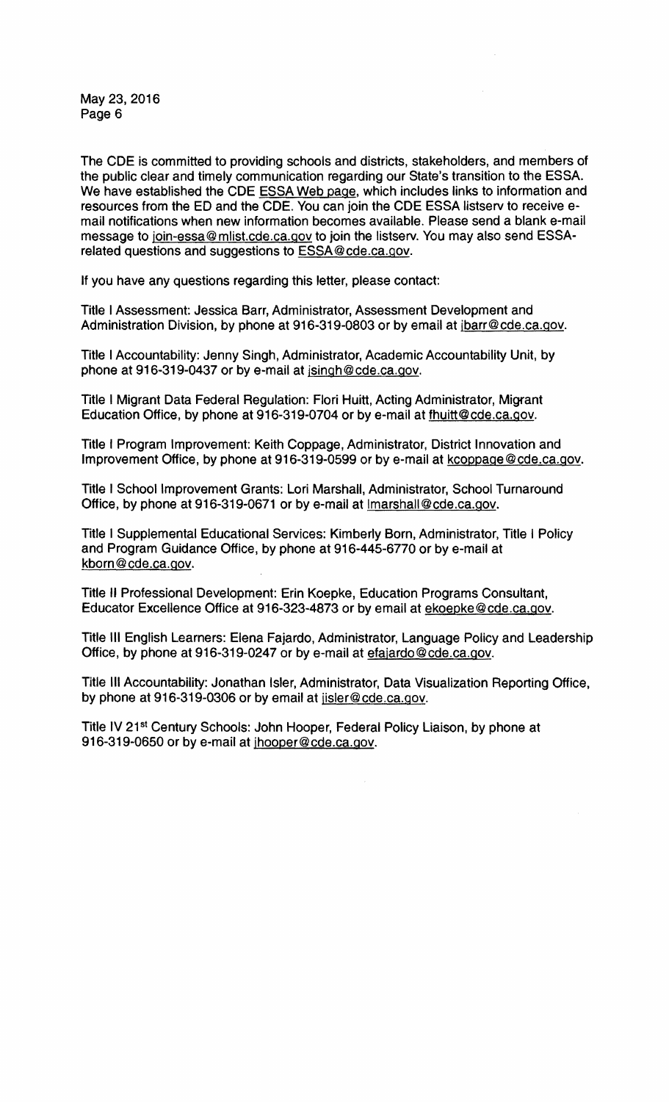The CDE is committed to providing schools and districts, stakeholders, and members of the public clear and timely communication regarding our State's transition to the ESSA. We have established the CDE ESSA Web page, which includes links to information and resources from the ED and the CDE. You can join the CDE ESSA listserv to receive email notifications when new information becomes available. Please send a blank e-mail message to join-essa@mlist.cde.ca.gov to join the listserv. You may also send ESSArelated questions and suggestions to ESSA@cde.ca.gov.

If you have any questions regarding this letter, please contact:

Title I Assessment: Jessica Barr, Administrator, Assessment Development and Administration Division, by phone at 916-319-0803 or by email at jbarr@cde.ca.gov.

Title I Accountability: Jenny Singh, Administrator, Academic Accountability Unit, by phone at 916-319-0437 or by e-mail at jsingh@cde.ca.gov.

Title I Migrant Data Federal Regulation: Flori Huitt, Acting Administrator, Migrant Education Office, by phone at 916-319-0704 or by e-mail at fhuitt@cde.ca.gov.

Title I Program Improvement: Keith Coppage, Administrator, District Innovation and Improvement Office, by phone at 916-319-0599 or by e-mail at kcoppage@cde.ca.gov.

Title I School Improvement Grants: Lori Marshall, Administrator, School Turnaround Office, by phone at 916-319-0671 or by e-mail at lmarshall@cde.ca.gov.

Title I Supplemental Educational Services: Kimberly Born, Administrator, Title I Policy and Program Guidance Office, by phone at 916-445-6770 or by e-mail at kborn@cde.ca.gov.

Title II Professional Development: Erin Koepke, Education Programs Consultant, Educator Excellence Office at 916-323-4873 or by email at ekoepke@cde.ca.gov.

Title III English Learners: Elena Fajardo, Administrator, Language Policy and Leadership Office, by phone at 916-319-0247 or by e-mail at efajardo@cde.ca.gov.

Title III Accountability: Jonathan Isler, Administrator, Data Visualization Reporting Office, by phone at 916-319-0306 or by email at jisler@cde.ca.gov.

Title IV 21<sup>st</sup> Century Schools: John Hooper, Federal Policy Liaison, by phone at 916-319-0650 or by e-mail at jhooper@cde.ca.gov.